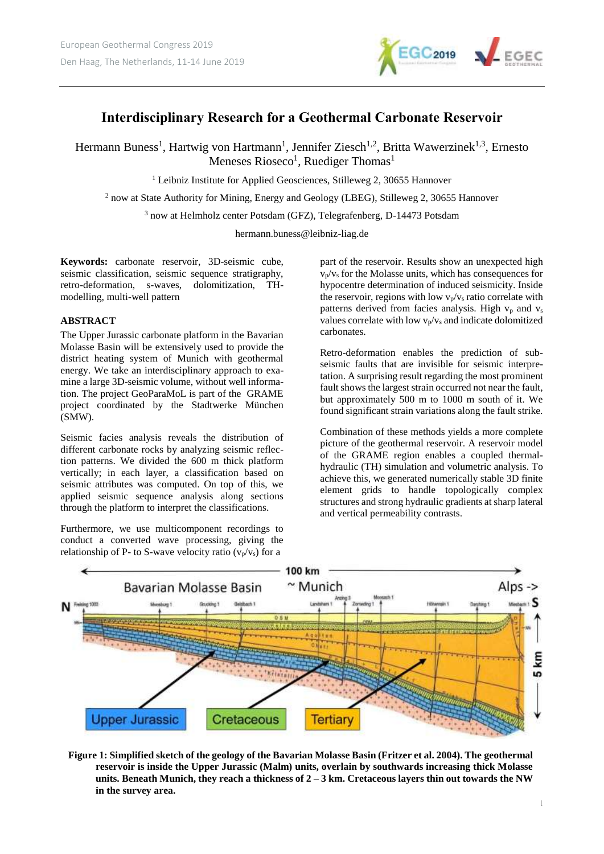

# **Interdisciplinary Research for a Geothermal Carbonate Reservoir**

Hermann Buness<sup>1</sup>, Hartwig von Hartmann<sup>1</sup>, Jennifer Ziesch<sup>1,2</sup>, Britta Wawerzinek<sup>1,3</sup>, Ernesto Meneses Rioseco<sup>1</sup>, Ruediger Thomas<sup>1</sup>

<sup>1</sup> Leibniz Institute for Applied Geosciences, Stilleweg 2, 30655 Hannover

<sup>2</sup> now at State Authority for Mining, Energy and Geology (LBEG), Stilleweg 2, 30655 Hannover

<sup>3</sup> now at Helmholz center Potsdam (GFZ), Telegrafenberg, D-14473 Potsdam

hermann.buness@leibniz-liag.de

**Keywords:** carbonate reservoir, 3D-seismic cube, seismic classification, seismic sequence stratigraphy, retro-deformation, s-waves, dolomitization, THmodelling, multi-well pattern

# **ABSTRACT**

The Upper Jurassic carbonate platform in the Bavarian Molasse Basin will be extensively used to provide the district heating system of Munich with geothermal energy. We take an interdisciplinary approach to examine a large 3D-seismic volume, without well information. The project GeoParaMoL is part of the GRAME project coordinated by the Stadtwerke München (SMW).

Seismic facies analysis reveals the distribution of different carbonate rocks by analyzing seismic reflection patterns. We divided the 600 m thick platform vertically; in each layer, a classification based on seismic attributes was computed. On top of this, we applied seismic sequence analysis along sections through the platform to interpret the classifications.

Furthermore, we use multicomponent recordings to conduct a converted wave processing, giving the relationship of P- to S-wave velocity ratio  $(v_p/v_s)$  for a

part of the reservoir. Results show an unexpected high  $v_p/v_s$  for the Molasse units, which has consequences for hypocentre determination of induced seismicity. Inside the reservoir, regions with low  $v_p/v_s$  ratio correlate with patterns derived from facies analysis. High  $v_p$  and  $v_s$ values correlate with low  $v_p/v_s$  and indicate dolomitized carbonates.

Retro-deformation enables the prediction of subseismic faults that are invisible for seismic interpretation. A surprising result regarding the most prominent fault shows the largest strain occurred not near the fault, but approximately 500 m to 1000 m south of it. We found significant strain variations along the fault strike.

Combination of these methods yields a more complete picture of the geothermal reservoir. A reservoir model of the GRAME region enables a coupled thermalhydraulic (TH) simulation and volumetric analysis. To achieve this, we generated numerically stable 3D finite element grids to handle topologically complex structures and strong hydraulic gradients at sharp lateral and vertical permeability contrasts.



**Figure 1: Simplified sketch of the geology of the Bavarian Molasse Basin (Fritzer et al. 2004). The geothermal reservoir is inside the Upper Jurassic (Malm) units, overlain by southwards increasing thick Molasse units. Beneath Munich, they reach a thickness of 2 – 3 km. Cretaceous layers thin out towards the NW in the survey area.**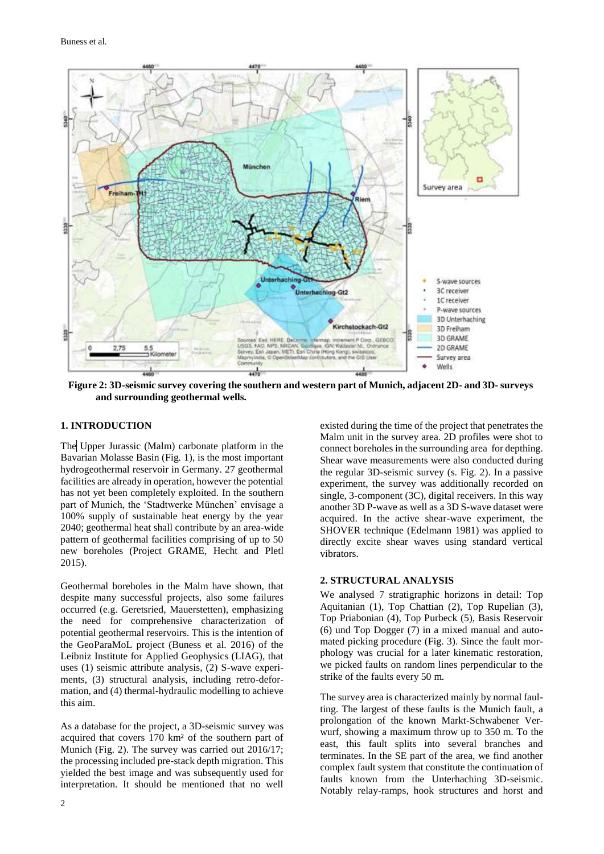

**Figure 2: 3D-seismic survey covering the southern and western part of Munich, adjacent 2D- and 3D- surveys and surrounding geothermal wells.**

### **1. INTRODUCTION**

The Upper Jurassic (Malm) carbonate platform in the Bavarian Molasse Basin (Fig. 1), is the most important hydrogeothermal reservoir in Germany. 27 geothermal facilities are already in operation, however the potential has not yet been completely exploited. In the southern part of Munich, the 'Stadtwerke München' envisage a 100% supply of sustainable heat energy by the year 2040; geothermal heat shall contribute by an area-wide pattern of geothermal facilities comprising of up to 50 new boreholes (Project GRAME, Hecht and Pletl 2015).

Geothermal boreholes in the Malm have shown, that despite many successful projects, also some failures occurred (e.g. Geretsried, Mauerstetten), emphasizing the need for comprehensive characterization of potential geothermal reservoirs. This is the intention of the GeoParaMoL project (Buness et al. 2016) of the Leibniz Institute for Applied Geophysics (LIAG), that uses (1) seismic attribute analysis, (2) S-wave experiments, (3) structural analysis, including retro-deformation, and (4) thermal-hydraulic modelling to achieve this aim.

As a database for the project, a 3D-seismic survey was acquired that covers 170 km² of the southern part of Munich (Fig. 2). The survey was carried out 2016/17; the processing included pre-stack depth migration. This yielded the best image and was subsequently used for interpretation. It should be mentioned that no well

directly excite shear waves using standard vertical vibrators. **2. STRUCTURAL ANALYSIS** We analysed 7 stratigraphic horizons in detail: Top Aquitanian (1), Top Chattian (2), Top Rupelian (3), Top Priabonian (4), Top Purbeck (5), Basis Reservoir (6) und Top Dogger (7) in a mixed manual and automated picking procedure (Fig. 3). Since the fault morphology was crucial for a later kinematic restoration, we picked faults on random lines perpendicular to the

strike of the faults every 50 m.

The survey area is characterized mainly by normal faulting. The largest of these faults is the Munich fault, a prolongation of the known Markt-Schwabener Verwurf, showing a maximum throw up to 350 m. To the east, this fault splits into several branches and terminates. In the SE part of the area, we find another complex fault system that constitute the continuation of faults known from the Unterhaching 3D-seismic. Notably relay-ramps, hook structures and horst and

existed during the time of the project that penetrates the Malm unit in the survey area. 2D profiles were shot to connect boreholes in the surrounding area for depthing. Shear wave measurements were also conducted during the regular 3D-seismic survey (s. Fig. 2). In a passive experiment, the survey was additionally recorded on single, 3-component (3C), digital receivers. In this way another 3D P-wave as well as a 3D S-wave dataset were acquired. In the active shear-wave experiment, the SHOVER technique (Edelmann 1981) was applied to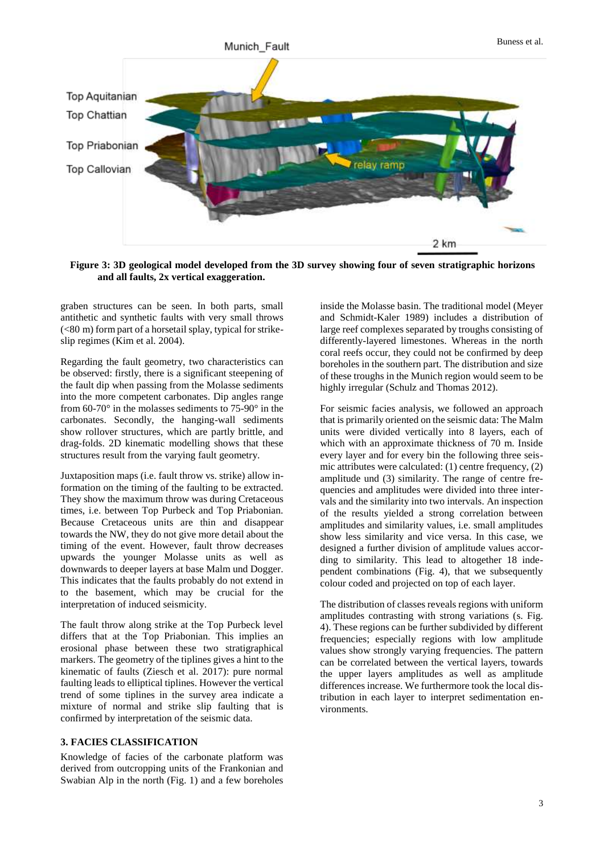

**Figure 3: 3D geological model developed from the 3D survey showing four of seven stratigraphic horizons and all faults, 2x vertical exaggeration.**

graben structures can be seen. In both parts, small antithetic and synthetic faults with very small throws  $(<80 \text{ m})$  form part of a horsetail splay, typical for strikeslip regimes (Kim et al. 2004).

Regarding the fault geometry, two characteristics can be observed: firstly, there is a significant steepening of the fault dip when passing from the Molasse sediments into the more competent carbonates. Dip angles range from 60-70° in the molasses sediments to 75-90° in the carbonates. Secondly, the hanging-wall sediments show rollover structures, which are partly brittle, and drag-folds. 2D kinematic modelling shows that these structures result from the varying fault geometry.

Juxtaposition maps (i.e. fault throw vs. strike) allow information on the timing of the faulting to be extracted. They show the maximum throw was during Cretaceous times, i.e. between Top Purbeck and Top Priabonian. Because Cretaceous units are thin and disappear towards the NW, they do not give more detail about the timing of the event. However, fault throw decreases upwards the younger Molasse units as well as downwards to deeper layers at base Malm und Dogger. This indicates that the faults probably do not extend in to the basement, which may be crucial for the interpretation of induced seismicity.

The fault throw along strike at the Top Purbeck level differs that at the Top Priabonian. This implies an erosional phase between these two stratigraphical markers. The geometry of the tiplines gives a hint to the kinematic of faults (Ziesch et al. 2017): pure normal faulting leads to elliptical tiplines. However the vertical trend of some tiplines in the survey area indicate a mixture of normal and strike slip faulting that is confirmed by interpretation of the seismic data.

#### **3. FACIES CLASSIFICATION**

Knowledge of facies of the carbonate platform was derived from outcropping units of the Frankonian and Swabian Alp in the north (Fig. 1) and a few boreholes

inside the Molasse basin. The traditional model (Meyer and Schmidt-Kaler 1989) includes a distribution of large reef complexes separated by troughs consisting of differently-layered limestones. Whereas in the north coral reefs occur, they could not be confirmed by deep boreholes in the southern part. The distribution and size of these troughs in the Munich region would seem to be highly irregular (Schulz and Thomas 2012).

For seismic facies analysis, we followed an approach that is primarily oriented on the seismic data: The Malm units were divided vertically into 8 layers, each of which with an approximate thickness of 70 m. Inside every layer and for every bin the following three seismic attributes were calculated: (1) centre frequency, (2) amplitude und (3) similarity. The range of centre frequencies and amplitudes were divided into three intervals and the similarity into two intervals. An inspection of the results yielded a strong correlation between amplitudes and similarity values, i.e. small amplitudes show less similarity and vice versa. In this case, we designed a further division of amplitude values according to similarity. This lead to altogether 18 independent combinations (Fig. 4), that we subsequently colour coded and projected on top of each layer.

The distribution of classes reveals regions with uniform amplitudes contrasting with strong variations (s. Fig. 4). These regions can be further subdivided by different frequencies; especially regions with low amplitude values show strongly varying frequencies. The pattern can be correlated between the vertical layers, towards the upper layers amplitudes as well as amplitude differences increase. We furthermore took the local distribution in each layer to interpret sedimentation environments.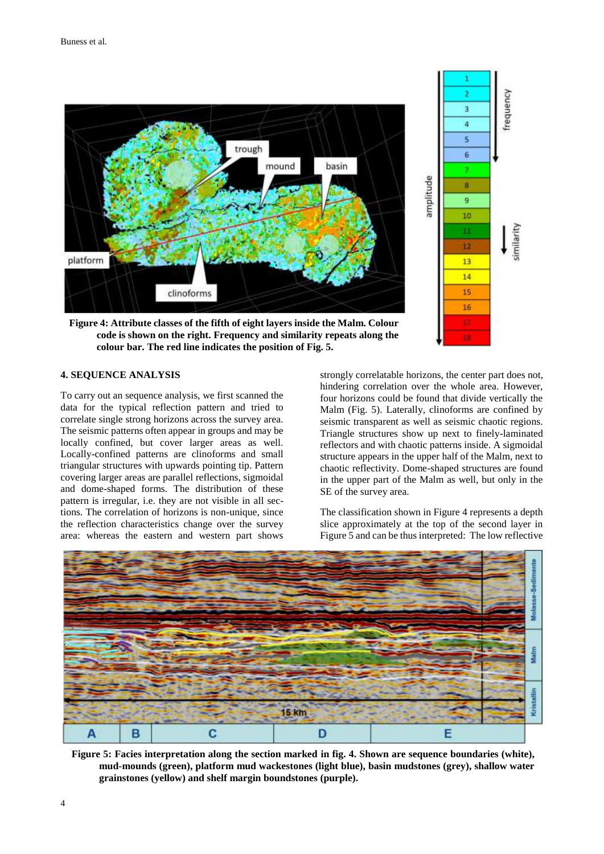



**Figure 4: Attribute classes of the fifth of eight layers inside the Malm. Colour code is shown on the right. Frequency and similarity repeats along the colour bar. The red line indicates the position of Fig. 5.**

### **4. SEQUENCE ANALYSIS**

To carry out an sequence analysis, we first scanned the data for the typical reflection pattern and tried to correlate single strong horizons across the survey area. The seismic patterns often appear in groups and may be locally confined, but cover larger areas as well. Locally-confined patterns are clinoforms and small triangular structures with upwards pointing tip. Pattern covering larger areas are parallel reflections, sigmoidal and dome-shaped forms. The distribution of these pattern is irregular, i.e. they are not visible in all sections. The correlation of horizons is non-unique, since the reflection characteristics change over the survey area: whereas the eastern and western part shows

strongly correlatable horizons, the center part does not, hindering correlation over the whole area. However, four horizons could be found that divide vertically the Malm (Fig. 5). Laterally, clinoforms are confined by seismic transparent as well as seismic chaotic regions. Triangle structures show up next to finely-laminated reflectors and with chaotic patterns inside. A sigmoidal structure appears in the upper half of the Malm, next to chaotic reflectivity. Dome-shaped structures are found in the upper part of the Malm as well, but only in the SE of the survey area.

The classification shown in Figure 4 represents a depth slice approximately at the top of the second layer in Figure 5 and can be thus interpreted: The low reflective



**Figure 5: Facies interpretation along the section marked in fig. 4. Shown are sequence boundaries (white), mud-mounds (green), platform mud wackestones (light blue), basin mudstones (grey), shallow water grainstones (yellow) and shelf margin boundstones (purple).**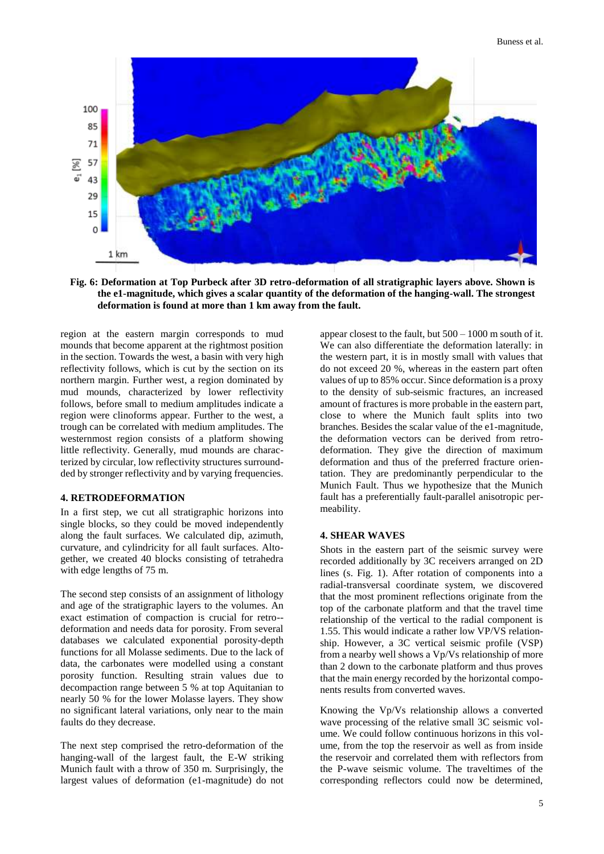

**Fig. 6: Deformation at Top Purbeck after 3D retro-deformation of all stratigraphic layers above. Shown is the e1-magnitude, which gives a scalar quantity of the deformation of the hanging-wall. The strongest deformation is found at more than 1 km away from the fault.**

region at the eastern margin corresponds to mud mounds that become apparent at the rightmost position in the section. Towards the west, a basin with very high reflectivity follows, which is cut by the section on its northern margin. Further west, a region dominated by mud mounds, characterized by lower reflectivity follows, before small to medium amplitudes indicate a region were clinoforms appear. Further to the west, a trough can be correlated with medium amplitudes. The westernmost region consists of a platform showing little reflectivity. Generally, mud mounds are characterized by circular, low reflectivity structures surroundded by stronger reflectivity and by varying frequencies.

#### **4. RETRODEFORMATION**

In a first step, we cut all stratigraphic horizons into single blocks, so they could be moved independently along the fault surfaces. We calculated dip, azimuth, curvature, and cylindricity for all fault surfaces. Altogether, we created 40 blocks consisting of tetrahedra with edge lengths of 75 m.

The second step consists of an assignment of lithology and age of the stratigraphic layers to the volumes. An exact estimation of compaction is crucial for retro- deformation and needs data for porosity. From several databases we calculated exponential porosity-depth functions for all Molasse sediments. Due to the lack of data, the carbonates were modelled using a constant porosity function. Resulting strain values due to decompaction range between 5 % at top Aquitanian to nearly 50 % for the lower Molasse layers. They show no significant lateral variations, only near to the main faults do they decrease.

The next step comprised the retro-deformation of the hanging-wall of the largest fault, the E-W striking Munich fault with a throw of 350 m. Surprisingly, the largest values of deformation (e1-magnitude) do not

appear closest to the fault, but  $500 - 1000$  m south of it. We can also differentiate the deformation laterally: in the western part, it is in mostly small with values that do not exceed 20 %, whereas in the eastern part often values of up to 85% occur. Since deformation is a proxy to the density of sub-seismic fractures, an increased amount of fractures is more probable in the eastern part, close to where the Munich fault splits into two branches. Besides the scalar value of the e1-magnitude, the deformation vectors can be derived from retrodeformation. They give the direction of maximum deformation and thus of the preferred fracture orientation. They are predominantly perpendicular to the Munich Fault. Thus we hypothesize that the Munich fault has a preferentially fault-parallel anisotropic permeability.

#### **4. SHEAR WAVES**

Shots in the eastern part of the seismic survey were recorded additionally by 3C receivers arranged on 2D lines (s. Fig. 1). After rotation of components into a radial-transversal coordinate system, we discovered that the most prominent reflections originate from the top of the carbonate platform and that the travel time relationship of the vertical to the radial component is 1.55. This would indicate a rather low VP/VS relationship. However, a 3C vertical seismic profile (VSP) from a nearby well shows a Vp/Vs relationship of more than 2 down to the carbonate platform and thus proves that the main energy recorded by the horizontal components results from converted waves.

Knowing the Vp/Vs relationship allows a converted wave processing of the relative small 3C seismic volume. We could follow continuous horizons in this volume, from the top the reservoir as well as from inside the reservoir and correlated them with reflectors from the P-wave seismic volume. The traveltimes of the corresponding reflectors could now be determined,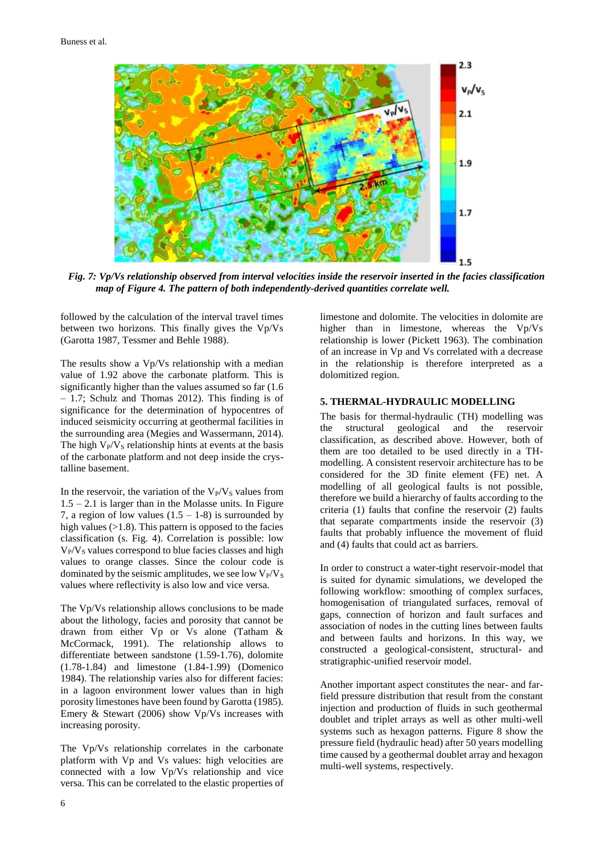

*Fig. 7: Vp/Vs relationship observed from interval velocities inside the reservoir inserted in the facies classification map of Figure 4. The pattern of both independently-derived quantities correlate well.*

followed by the calculation of the interval travel times between two horizons. This finally gives the Vp/Vs (Garotta 1987, Tessmer and Behle 1988).

The results show a Vp/Vs relationship with a median value of 1.92 above the carbonate platform. This is significantly higher than the values assumed so far (1.6 – 1.7; Schulz and Thomas 2012). This finding is of significance for the determination of hypocentres of induced seismicity occurring at geothermal facilities in the surrounding area (Megies and Wassermann, 2014). The high  $V_P/V_S$  relationship hints at events at the basis of the carbonate platform and not deep inside the crystalline basement.

In the reservoir, the variation of the  $V_P/V_S$  values from  $1.5 - 2.1$  is larger than in the Molasse units. In Figure 7, a region of low values  $(1.5 - 1.8)$  is surrounded by high values (>1.8). This pattern is opposed to the facies classification (s. Fig. 4). Correlation is possible: low  $V_P/V_S$  values correspond to blue facies classes and high values to orange classes. Since the colour code is dominated by the seismic amplitudes, we see low  $V_P/V_S$ values where reflectivity is also low and vice versa.

The Vp/Vs relationship allows conclusions to be made about the lithology, facies and porosity that cannot be drawn from either Vp or Vs alone (Tatham & McCormack, 1991). The relationship allows to differentiate between sandstone (1.59-1.76), dolomite (1.78-1.84) and limestone (1.84-1.99) (Domenico 1984). The relationship varies also for different facies: in a lagoon environment lower values than in high porosity limestones have been found by Garotta (1985). Emery & Stewart (2006) show Vp/Vs increases with increasing porosity.

The Vp/Vs relationship correlates in the carbonate platform with Vp and Vs values: high velocities are connected with a low Vp/Vs relationship and vice versa. This can be correlated to the elastic properties of limestone and dolomite. The velocities in dolomite are higher than in limestone, whereas the Vp/Vs relationship is lower (Pickett 1963). The combination of an increase in Vp and Vs correlated with a decrease in the relationship is therefore interpreted as a dolomitized region.

#### **5. THERMAL-HYDRAULIC MODELLING**

The basis for thermal-hydraulic (TH) modelling was the structural geological and the reservoir classification, as described above. However, both of them are too detailed to be used directly in a THmodelling. A consistent reservoir architecture has to be considered for the 3D finite element (FE) net. A modelling of all geological faults is not possible, therefore we build a hierarchy of faults according to the criteria (1) faults that confine the reservoir (2) faults that separate compartments inside the reservoir (3) faults that probably influence the movement of fluid and (4) faults that could act as barriers.

In order to construct a water-tight reservoir-model that is suited for dynamic simulations, we developed the following workflow: smoothing of complex surfaces, homogenisation of triangulated surfaces, removal of gaps, connection of horizon and fault surfaces and association of nodes in the cutting lines between faults and between faults and horizons. In this way, we constructed a geological-consistent, structural- and stratigraphic-unified reservoir model.

Another important aspect constitutes the near- and farfield pressure distribution that result from the constant injection and production of fluids in such geothermal doublet and triplet arrays as well as other multi-well systems such as hexagon patterns. Figure 8 show the pressure field (hydraulic head) after 50 years modelling time caused by a geothermal doublet array and hexagon multi-well systems, respectively.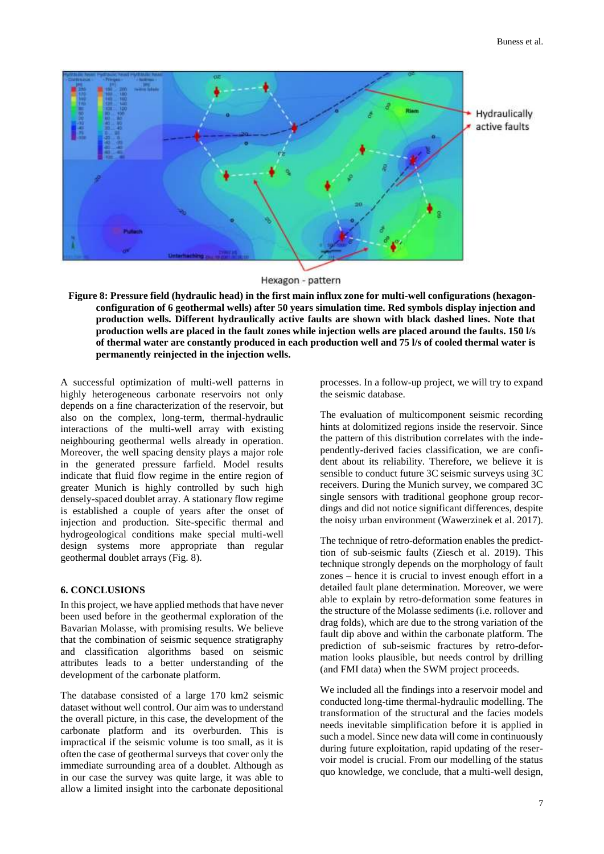

Hexagon - pattern

**Figure 8: Pressure field (hydraulic head) in the first main influx zone for multi-well configurations (hexagonconfiguration of 6 geothermal wells) after 50 years simulation time. Red symbols display injection and production wells. Different hydraulically active faults are shown with black dashed lines. Note that production wells are placed in the fault zones while injection wells are placed around the faults. 150 l/s of thermal water are constantly produced in each production well and 75 l/s of cooled thermal water is permanently reinjected in the injection wells.**

A successful optimization of multi-well patterns in highly heterogeneous carbonate reservoirs not only depends on a fine characterization of the reservoir, but also on the complex, long-term, thermal-hydraulic interactions of the multi-well array with existing neighbouring geothermal wells already in operation. Moreover, the well spacing density plays a major role in the generated pressure farfield. Model results indicate that fluid flow regime in the entire region of greater Munich is highly controlled by such high densely-spaced doublet array. A stationary flow regime is established a couple of years after the onset of injection and production. Site-specific thermal and hydrogeological conditions make special multi-well design systems more appropriate than regular geothermal doublet arrays (Fig. 8).

### **6. CONCLUSIONS**

In this project, we have applied methods that have never been used before in the geothermal exploration of the Bavarian Molasse, with promising results. We believe that the combination of seismic sequence stratigraphy and classification algorithms based on seismic attributes leads to a better understanding of the development of the carbonate platform.

The database consisted of a large 170 km2 seismic dataset without well control. Our aim was to understand the overall picture, in this case, the development of the carbonate platform and its overburden. This is impractical if the seismic volume is too small, as it is often the case of geothermal surveys that cover only the immediate surrounding area of a doublet. Although as in our case the survey was quite large, it was able to allow a limited insight into the carbonate depositional

processes. In a follow-up project, we will try to expand the seismic database.

The evaluation of multicomponent seismic recording hints at dolomitized regions inside the reservoir. Since the pattern of this distribution correlates with the independently-derived facies classification, we are confident about its reliability. Therefore, we believe it is sensible to conduct future 3C seismic surveys using 3C receivers. During the Munich survey, we compared 3C single sensors with traditional geophone group recordings and did not notice significant differences, despite the noisy urban environment (Wawerzinek et al. 2017).

The technique of retro-deformation enables the predicttion of sub-seismic faults (Ziesch et al. 2019). This technique strongly depends on the morphology of fault zones – hence it is crucial to invest enough effort in a detailed fault plane determination. Moreover, we were able to explain by retro-deformation some features in the structure of the Molasse sediments (i.e. rollover and drag folds), which are due to the strong variation of the fault dip above and within the carbonate platform. The prediction of sub-seismic fractures by retro-deformation looks plausible, but needs control by drilling (and FMI data) when the SWM project proceeds.

We included all the findings into a reservoir model and conducted long-time thermal-hydraulic modelling. The transformation of the structural and the facies models needs inevitable simplification before it is applied in such a model. Since new data will come in continuously during future exploitation, rapid updating of the reservoir model is crucial. From our modelling of the status quo knowledge, we conclude, that a multi-well design,